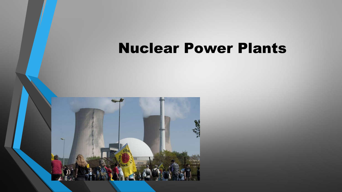#### Nuclear Power Plants

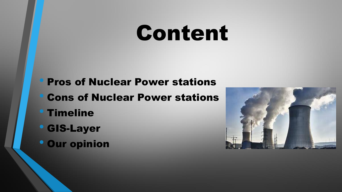# Content

- Pros of Nuclear Power stations
- Cons of Nuclear Power stations
- Timeline
- GIS-Layer
- Our opinion

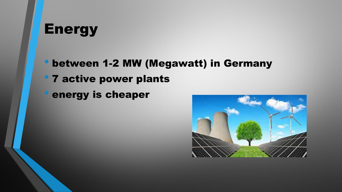### Energy

• between 1-2 MW (Megawatt) in Germany • 7 active power plants **• energy is cheaper** 

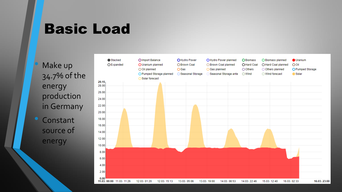#### Basic Load

Make up 34.7% of the energy production in Germany

• Constant source of energy

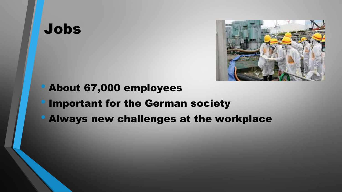### Jobs



#### • About 67,000 employees

- Important for the German society
- Always new challenges at the workplace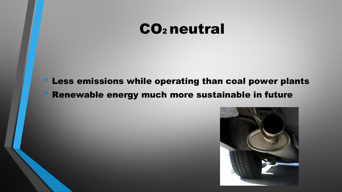#### CO2 neutral

• Less emissions while operating than coal power plants Renewable energy much more sustainable in future

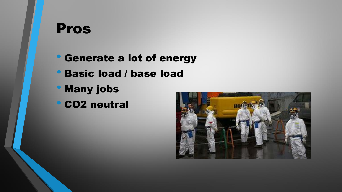#### Pros

- Generate a lot of energy
- Basic load / base load
- Many jobs
	- CO2 neutral

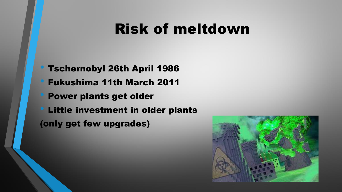# Risk of meltdown

- Tschernobyl 26th April 1986
- Fukushima 11th March 2011
- Power plants get older
- Little investment in older plants
- (only get few upgrades)

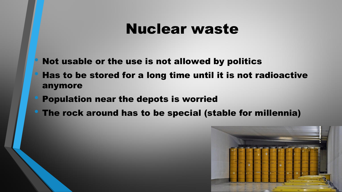### Nuclear waste

- Not usable or the use is not allowed by politics
- Has to be stored for a long time until it is not radioactive anymore
- Population near the depots is worried
- The rock around has to be special (stable for millennia)

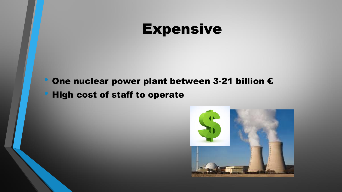#### Expensive

• One nuclear power plant between 3-21 billion €

• High cost of staff to operate

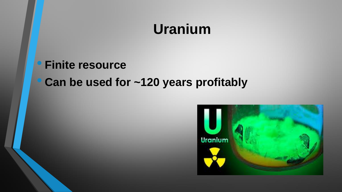#### **Uranium**

### • **Finite resource** • **Can be used for ~120 years profitably**

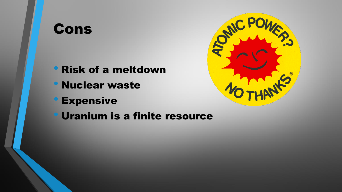#### Cons

- Risk of a meltdown
- Nuclear waste
- **Expensive**
- **Uranium is a finite resource**

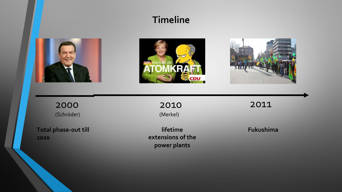#### **Timeline**







2000 (Schröder)

**Total phase-out till 2020**

2010 (Merkel)

**lifetime extensions of the power plants**

2011

**Fukushima**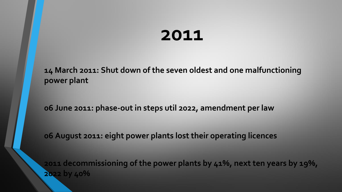# **2011**

**14 March 2011: Shut down of the seven oldest and one malfunctioning power plant**

**06 June 2011: phase-out in steps util 2022, amendment per law**

**06 August 2011: eight power plants lost their operating licences**

**2011 decommissioning of the power plants by 41%, next ten years by 19%, 2022 by 40%**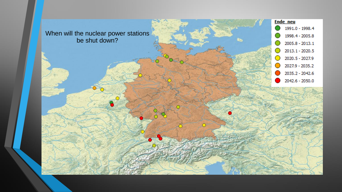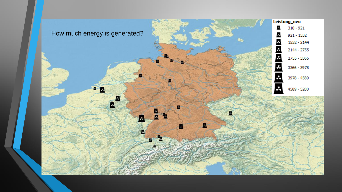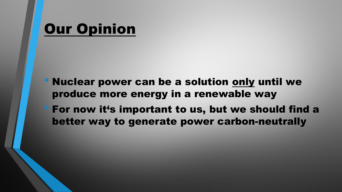### Our Opinion

- Nuclear power can be a solution only until we produce more energy in a renewable way
- For now it's important to us, but we should find a better way to generate power carbon-neutrally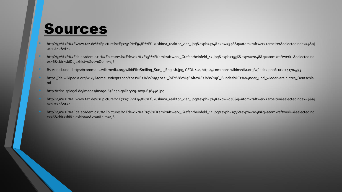#### Sources

- http%3A%2F%2Fwww.taz.de%2Fpicture%2F77251%2F948%2Ffukushima\_reaktor\_vier\_.jpg&exph=474&expw=948&q=atomkraftwerk+arbeiter&selectedindex=4&aj axhist=0&vt=0
- http%3A%2F%2Fde.academic.ru%2Fpictures%2Fdewiki%2F75%2FKernkraftwerk\_Grafenrheinfeld\_12.jpg&exph=1536&expw=2048&q=atomkraftwerk+&selectedind ex=6&cbir=sbi&ajaxhist=0&vt=0&eim=1,6
- By Anne Lund https://commons.wikimedia.org/wiki/File:Smiling\_Sun\_-\_English.jpg, GFDL 1.2, https://commons.wikimedia.org/w/index.php?curid=41704375
- https://de.wikipedia.org/wiki/Atomausstieg#2000/2011%E2%80%932022:\_%E2%80%9EAlte%E2%80%9C\_Bundesl%C3%A4nder\_und\_wiedervereinigtes\_Deutschla nd
- http://cdn1.spiegel.de/images/image-658440-galleryV9-soxp-658440.jpg
- http%3A%2F%2Fwww.taz.de%2Fpicture%2F77251%2F948%2Ffukushima\_reaktor\_vier\_.jpg&exph=474&expw=948&q=atomkraftwerk+arbeiter&selectedindex=4&aj axhist=0&vt=0
- http%3A%2F%2Fde.academic.ru%2Fpictures%2Fdewiki%2F75%2FKernkraftwerk\_Grafenrheinfeld\_12.jpg&exph=1536&expw=2048&q=atomkraftwerk+&selectedind ex=6&cbir=sbi&ajaxhist=0&vt=0&eim=1,6